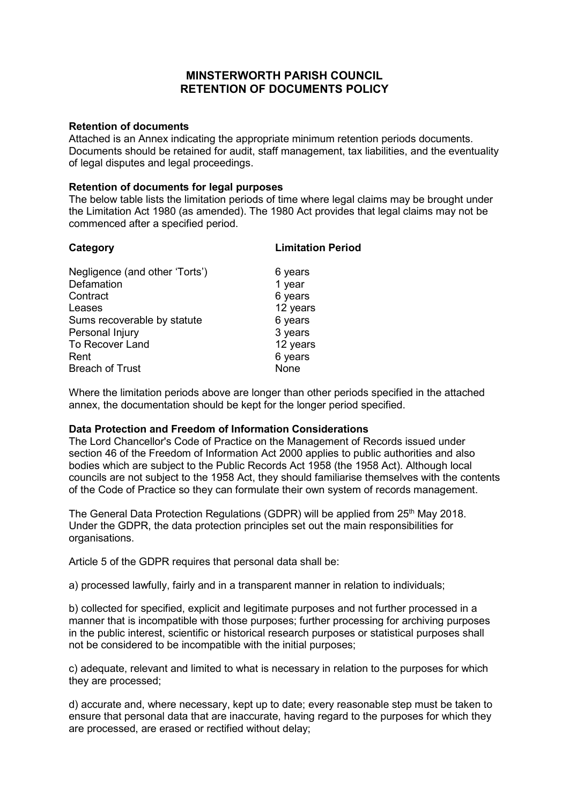# **MINSTERWORTH PARISH COUNCIL RETENTION OF DOCUMENTS POLICY**

#### **Retention of documents**

Attached is an Annex indicating the appropriate minimum retention periods documents. Documents should be retained for audit, staff management, tax liabilities, and the eventuality of legal disputes and legal proceedings.

### **Retention of documents for legal purposes**

The below table lists the limitation periods of time where legal claims may be brought under the Limitation Act 1980 (as amended). The 1980 Act provides that legal claims may not be commenced after a specified period.

| Category                                                                                                                                | <b>Limitation Period</b>                                                   |
|-----------------------------------------------------------------------------------------------------------------------------------------|----------------------------------------------------------------------------|
| Negligence (and other 'Torts')<br>Defamation<br>Contract<br>Leases<br>Sums recoverable by statute<br>Personal Injury<br>To Recover Land | 6 years<br>1 year<br>6 years<br>12 years<br>6 years<br>3 years<br>12 years |
| Rent                                                                                                                                    | 6 years                                                                    |
| <b>Breach of Trust</b>                                                                                                                  | None                                                                       |
|                                                                                                                                         |                                                                            |

Where the limitation periods above are longer than other periods specified in the attached annex, the documentation should be kept for the longer period specified.

## **Data Protection and Freedom of Information Considerations**

The Lord Chancellor's Code of Practice on the Management of Records issued under section 46 of the Freedom of Information Act 2000 applies to public authorities and also bodies which are subject to the Public Records Act 1958 (the 1958 Act). Although local councils are not subject to the 1958 Act, they should familiarise themselves with the contents of the Code of Practice so they can formulate their own system of records management.

The General Data Protection Regulations (GDPR) will be applied from 25<sup>th</sup> May 2018. Under the GDPR, the data protection principles set out the main responsibilities for organisations.

Article 5 of the GDPR requires that personal data shall be:

a) processed lawfully, fairly and in a transparent manner in relation to individuals;

b) collected for specified, explicit and legitimate purposes and not further processed in a manner that is incompatible with those purposes; further processing for archiving purposes in the public interest, scientific or historical research purposes or statistical purposes shall not be considered to be incompatible with the initial purposes;

c) adequate, relevant and limited to what is necessary in relation to the purposes for which they are processed;

d) accurate and, where necessary, kept up to date; every reasonable step must be taken to ensure that personal data that are inaccurate, having regard to the purposes for which they are processed, are erased or rectified without delay;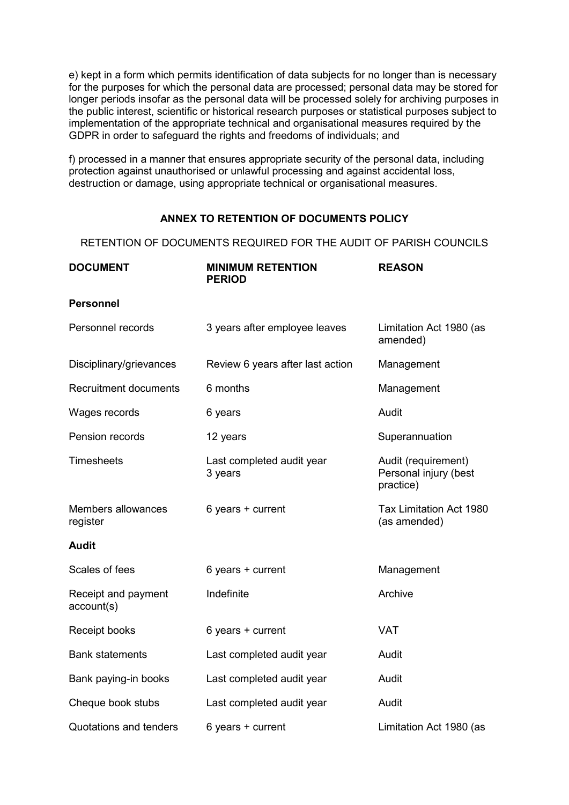e) kept in a form which permits identification of data subjects for no longer than is necessary for the purposes for which the personal data are processed; personal data may be stored for longer periods insofar as the personal data will be processed solely for archiving purposes in the public interest, scientific or historical research purposes or statistical purposes subject to implementation of the appropriate technical and organisational measures required by the GDPR in order to safeguard the rights and freedoms of individuals; and

f) processed in a manner that ensures appropriate security of the personal data, including protection against unauthorised or unlawful processing and against accidental loss, destruction or damage, using appropriate technical or organisational measures.

# **ANNEX TO RETENTION OF DOCUMENTS POLICY**

RETENTION OF DOCUMENTS REQUIRED FOR THE AUDIT OF PARISH COUNCILS

| <b>DOCUMENT</b>                   | <b>MINIMUM RETENTION</b><br><b>PERIOD</b> | <b>REASON</b>                                             |
|-----------------------------------|-------------------------------------------|-----------------------------------------------------------|
| <b>Personnel</b>                  |                                           |                                                           |
| Personnel records                 | 3 years after employee leaves             | Limitation Act 1980 (as<br>amended)                       |
| Disciplinary/grievances           | Review 6 years after last action          | Management                                                |
| <b>Recruitment documents</b>      | 6 months                                  | Management                                                |
| Wages records                     | 6 years                                   | Audit                                                     |
| Pension records                   | 12 years                                  | Superannuation                                            |
| <b>Timesheets</b>                 | Last completed audit year<br>3 years      | Audit (requirement)<br>Personal injury (best<br>practice) |
| Members allowances<br>register    | 6 years + current                         | Tax Limitation Act 1980<br>(as amended)                   |
| <b>Audit</b>                      |                                           |                                                           |
| Scales of fees                    | 6 years + current                         | Management                                                |
| Receipt and payment<br>account(s) | Indefinite                                | Archive                                                   |
| Receipt books                     | 6 years + current                         | <b>VAT</b>                                                |
| <b>Bank statements</b>            | Last completed audit year                 | Audit                                                     |
| Bank paying-in books              | Last completed audit year                 | Audit                                                     |
| Cheque book stubs                 | Last completed audit year                 | Audit                                                     |
| Quotations and tenders            | 6 years + current                         | Limitation Act 1980 (as                                   |